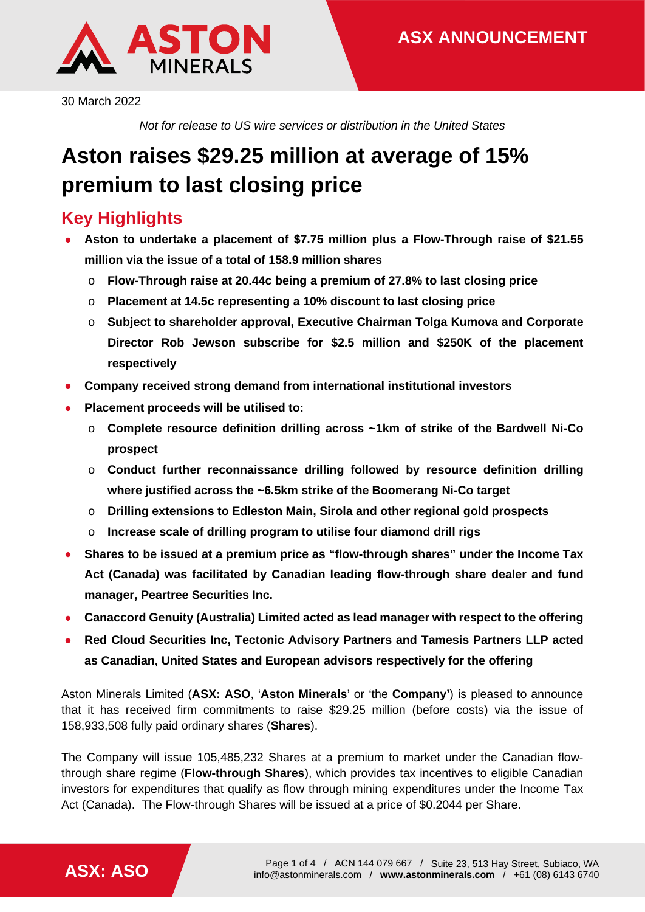

30 March 2022

*Not for release to US wire services or distribution in the United States*

# **Aston raises \$29.25 million at average of 15% premium to last closing price**

# **Key Highlights**

- **Aston to undertake a placement of \$7.75 million plus a Flow-Through raise of \$21.55 million via the issue of a total of 158.9 million shares**
	- o **Flow-Through raise at 20.44c being a premium of 27.8% to last closing price**
	- o **Placement at 14.5c representing a 10% discount to last closing price**
	- o **Subject to shareholder approval, Executive Chairman Tolga Kumova and Corporate Director Rob Jewson subscribe for \$2.5 million and \$250K of the placement respectively**
- **Company received strong demand from international institutional investors**
- **Placement proceeds will be utilised to:**
	- o **Complete resource definition drilling across ~1km of strike of the Bardwell Ni-Co prospect**
	- o **Conduct further reconnaissance drilling followed by resource definition drilling where justified across the ~6.5km strike of the Boomerang Ni-Co target**
	- o **Drilling extensions to Edleston Main, Sirola and other regional gold prospects**
	- o **Increase scale of drilling program to utilise four diamond drill rigs**
- **Shares to be issued at a premium price as "flow-through shares" under the Income Tax Act (Canada) was facilitated by Canadian leading flow-through share dealer and fund manager, Peartree Securities Inc.**
- **Canaccord Genuity (Australia) Limited acted as lead manager with respect to the offering**
- **Red Cloud Securities Inc, Tectonic Advisory Partners and Tamesis Partners LLP acted as Canadian, United States and European advisors respectively for the offering**

Aston Minerals Limited (**ASX: ASO**, '**Aston Minerals**' or 'the **Company'**) is pleased to announce that it has received firm commitments to raise \$29.25 million (before costs) via the issue of 158,933,508 fully paid ordinary shares (**Shares**).

The Company will issue 105,485,232 Shares at a premium to market under the Canadian flowthrough share regime (**Flow-through Shares**), which provides tax incentives to eligible Canadian investors for expenditures that qualify as flow through mining expenditures under the Income Tax Act (Canada). The Flow-through Shares will be issued at a price of \$0.2044 per Share.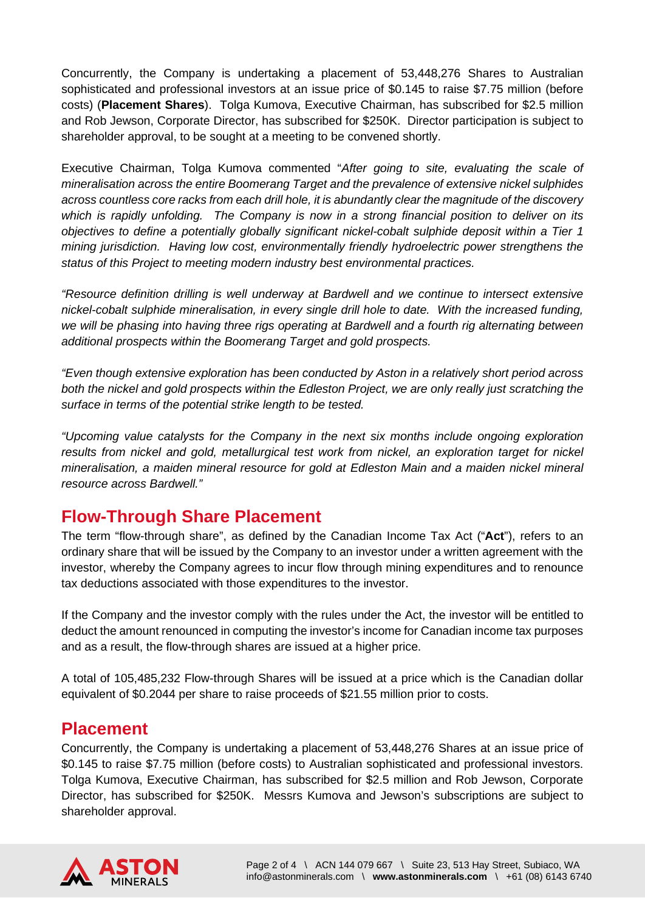Concurrently, the Company is undertaking a placement of 53,448,276 Shares to Australian sophisticated and professional investors at an issue price of \$0.145 to raise \$7.75 million (before costs) (**Placement Shares**). Tolga Kumova, Executive Chairman, has subscribed for \$2.5 million and Rob Jewson, Corporate Director, has subscribed for \$250K. Director participation is subject to shareholder approval, to be sought at a meeting to be convened shortly.

Executive Chairman, Tolga Kumova commented "*After going to site, evaluating the scale of mineralisation across the entire Boomerang Target and the prevalence of extensive nickel sulphides across countless core racks from each drill hole, it is abundantly clear the magnitude of the discovery which is rapidly unfolding. The Company is now in a strong financial position to deliver on its objectives to define a potentially globally significant nickel-cobalt sulphide deposit within a Tier 1 mining jurisdiction. Having low cost, environmentally friendly hydroelectric power strengthens the status of this Project to meeting modern industry best environmental practices.*

*"Resource definition drilling is well underway at Bardwell and we continue to intersect extensive nickel-cobalt sulphide mineralisation, in every single drill hole to date. With the increased funding, we will be phasing into having three rigs operating at Bardwell and a fourth rig alternating between additional prospects within the Boomerang Target and gold prospects.*

*"Even though extensive exploration has been conducted by Aston in a relatively short period across both the nickel and gold prospects within the Edleston Project, we are only really just scratching the surface in terms of the potential strike length to be tested.*

*"Upcoming value catalysts for the Company in the next six months include ongoing exploration results from nickel and gold, metallurgical test work from nickel, an exploration target for nickel mineralisation, a maiden mineral resource for gold at Edleston Main and a maiden nickel mineral resource across Bardwell."*

### **Flow-Through Share Placement**

The term "flow-through share", as defined by the Canadian Income Tax Act ("**Act**"), refers to an ordinary share that will be issued by the Company to an investor under a written agreement with the investor, whereby the Company agrees to incur flow through mining expenditures and to renounce tax deductions associated with those expenditures to the investor.

If the Company and the investor comply with the rules under the Act, the investor will be entitled to deduct the amount renounced in computing the investor's income for Canadian income tax purposes and as a result, the flow-through shares are issued at a higher price.

A total of 105,485,232 Flow-through Shares will be issued at a price which is the Canadian dollar equivalent of \$0.2044 per share to raise proceeds of \$21.55 million prior to costs.

#### **Placement**

Concurrently, the Company is undertaking a placement of 53,448,276 Shares at an issue price of \$0.145 to raise \$7.75 million (before costs) to Australian sophisticated and professional investors. Tolga Kumova, Executive Chairman, has subscribed for \$2.5 million and Rob Jewson, Corporate Director, has subscribed for \$250K. Messrs Kumova and Jewson's subscriptions are subject to shareholder approval.

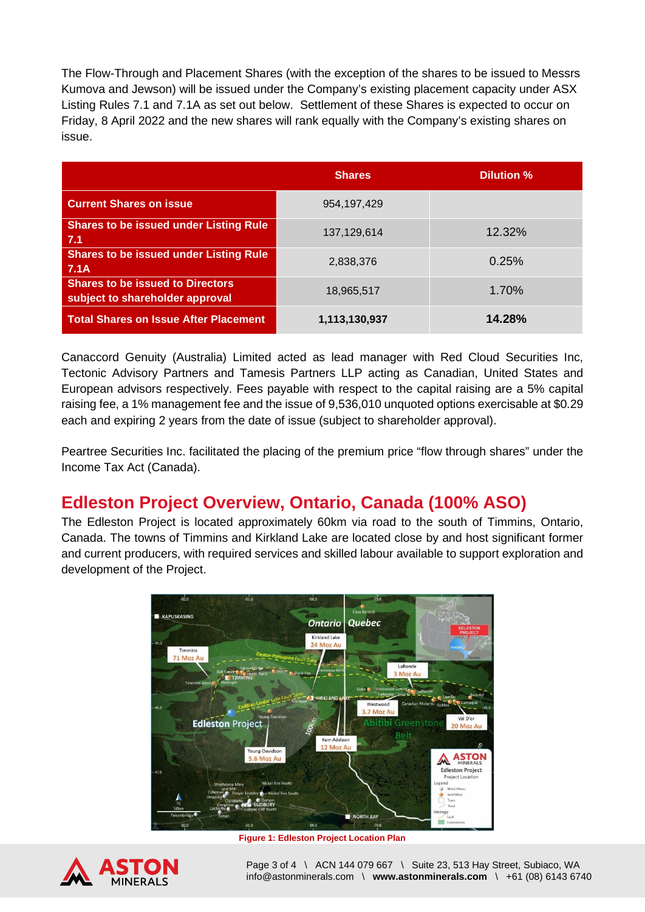The Flow-Through and Placement Shares (with the exception of the shares to be issued to Messrs Kumova and Jewson) will be issued under the Company's existing placement capacity under ASX Listing Rules 7.1 and 7.1A as set out below. Settlement of these Shares is expected to occur on Friday, 8 April 2022 and the new shares will rank equally with the Company's existing shares on issue.

|                                                                            | <b>Shares</b> | Dilution % |
|----------------------------------------------------------------------------|---------------|------------|
| <b>Current Shares on issue</b>                                             | 954, 197, 429 |            |
| <b>Shares to be issued under Listing Rule</b><br>7.1                       | 137,129,614   | 12.32%     |
| <b>Shares to be issued under Listing Rule</b><br><b>7.1A</b>               | 2,838,376     | 0.25%      |
| <b>Shares to be issued to Directors</b><br>subject to shareholder approval | 18,965,517    | 1.70%      |
| <b>Total Shares on Issue After Placement</b>                               | 1,113,130,937 | 14.28%     |

Canaccord Genuity (Australia) Limited acted as lead manager with Red Cloud Securities Inc, Tectonic Advisory Partners and Tamesis Partners LLP acting as Canadian, United States and European advisors respectively. Fees payable with respect to the capital raising are a 5% capital raising fee, a 1% management fee and the issue of 9,536,010 unquoted options exercisable at \$0.29 each and expiring 2 years from the date of issue (subject to shareholder approval).

Peartree Securities Inc. facilitated the placing of the premium price "flow through shares" under the Income Tax Act (Canada).

# **Edleston Project Overview, Ontario, Canada (100% ASO)**

The Edleston Project is located approximately 60km via road to the south of Timmins, Ontario, Canada. The towns of Timmins and Kirkland Lake are located close by and host significant former and current producers, with required services and skilled labour available to support exploration and development of the Project.



**Figure 1: Edleston Project Location Plan**



Page 3 of 4 \ ACN 144 079 667 \ Suite 23, 513 Hay Street, Subiaco, WA info@astonminerals.com \ **www.astonminerals.com** \ +61 (08) 6143 6740